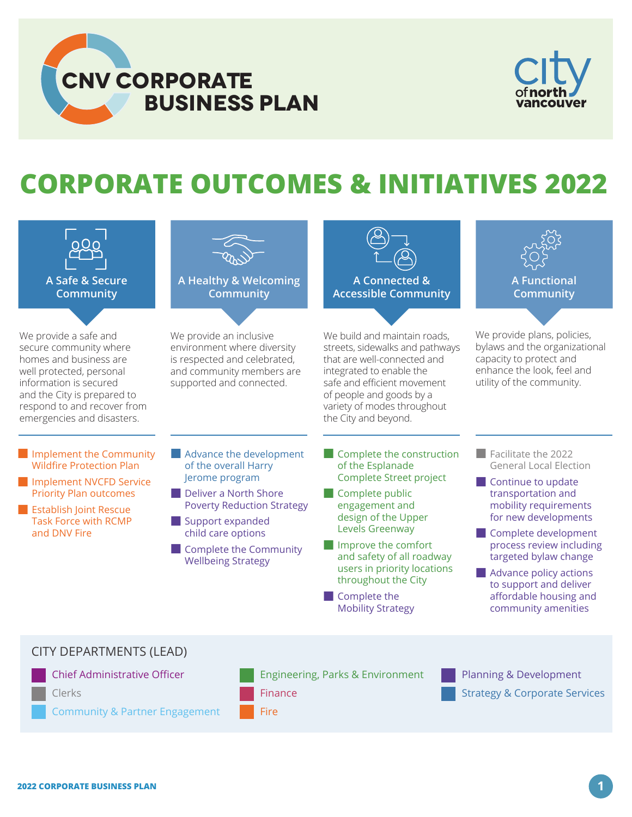



## **CORPORATE OUTCOMES & INITIATIVES 2022**